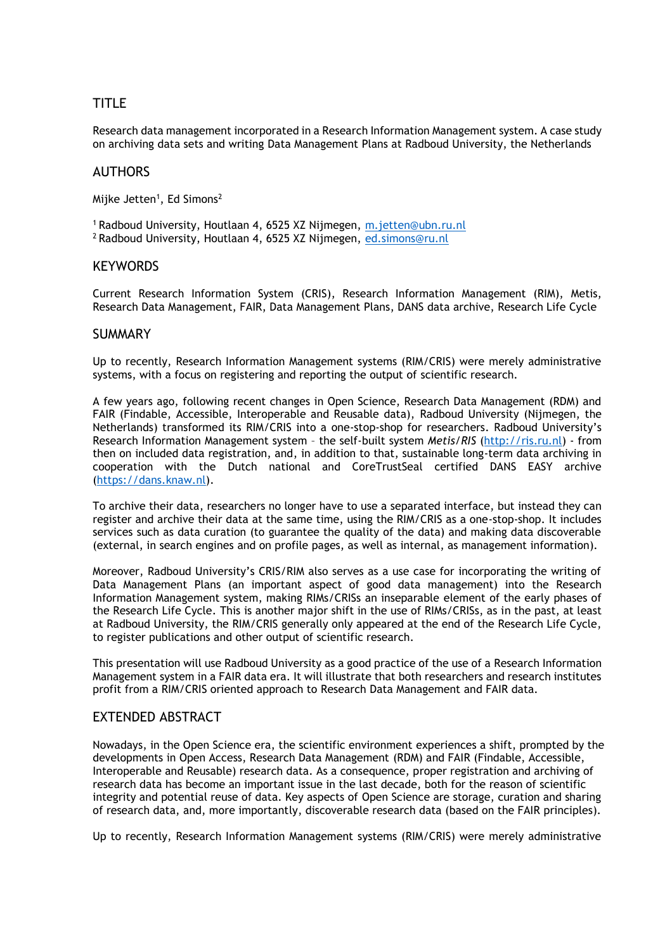# TITLE

Research data management incorporated in a Research Information Management system. A case study on archiving data sets and writing Data Management Plans at Radboud University, the Netherlands

### AUTHORS

Mijke Jetten $^{\rm 1}$ , Ed Simons $^{\rm 2}$ 

<sup>1</sup> Radboud University, Houtlaan 4, 6525 XZ Nijmegen, [m.jetten@ubn.ru.nl](mailto:m.jetten@ubn.ru.nl) <sup>2</sup> Radboud University, Houtlaan 4, 6525 XZ Nijmegen, [ed.simons@ru.nl](mailto:ed.simons@ru.nl)

#### **KEYWORDS**

Current Research Information System (CRIS), Research Information Management (RIM), Metis, Research Data Management, FAIR, Data Management Plans, DANS data archive, Research Life Cycle

### **SUMMARY**

Up to recently, Research Information Management systems (RIM/CRIS) were merely administrative systems, with a focus on registering and reporting the output of scientific research.

A few years ago, following recent changes in Open Science, Research Data Management (RDM) and FAIR (Findable, Accessible, Interoperable and Reusable data), Radboud University (Nijmegen, the Netherlands) transformed its RIM/CRIS into a one-stop-shop for researchers. Radboud University's Research Information Management system – the self-built system *Metis*/*RIS* [\(http://ris.ru.nl\)](http://ris.ru.nl/) - from then on included data registration, and, in addition to that, sustainable long-term data archiving in cooperation with the Dutch national and CoreTrustSeal certified DANS EASY archive [\(https://dans.knaw.nl\)](https://dans.knaw.nl/).

To archive their data, researchers no longer have to use a separated interface, but instead they can register and archive their data at the same time, using the RIM/CRIS as a one-stop-shop. It includes services such as data curation (to guarantee the quality of the data) and making data discoverable (external, in search engines and on profile pages, as well as internal, as management information).

Moreover, Radboud University's CRIS/RIM also serves as a use case for incorporating the writing of Data Management Plans (an important aspect of good data management) into the Research Information Management system, making RIMs/CRISs an inseparable element of the early phases of the Research Life Cycle. This is another major shift in the use of RIMs/CRISs, as in the past, at least at Radboud University, the RIM/CRIS generally only appeared at the end of the Research Life Cycle, to register publications and other output of scientific research.

This presentation will use Radboud University as a good practice of the use of a Research Information Management system in a FAIR data era. It will illustrate that both researchers and research institutes profit from a RIM/CRIS oriented approach to Research Data Management and FAIR data.

## EXTENDED ABSTRACT

Nowadays, in the Open Science era, the scientific environment experiences a shift, prompted by the developments in Open Access, Research Data Management (RDM) and FAIR (Findable, Accessible, Interoperable and Reusable) research data. As a consequence, proper registration and archiving of research data has become an important issue in the last decade, both for the reason of scientific integrity and potential reuse of data. Key aspects of Open Science are storage, curation and sharing of research data, and, more importantly, discoverable research data (based on the FAIR principles).

Up to recently, Research Information Management systems (RIM/CRIS) were merely administrative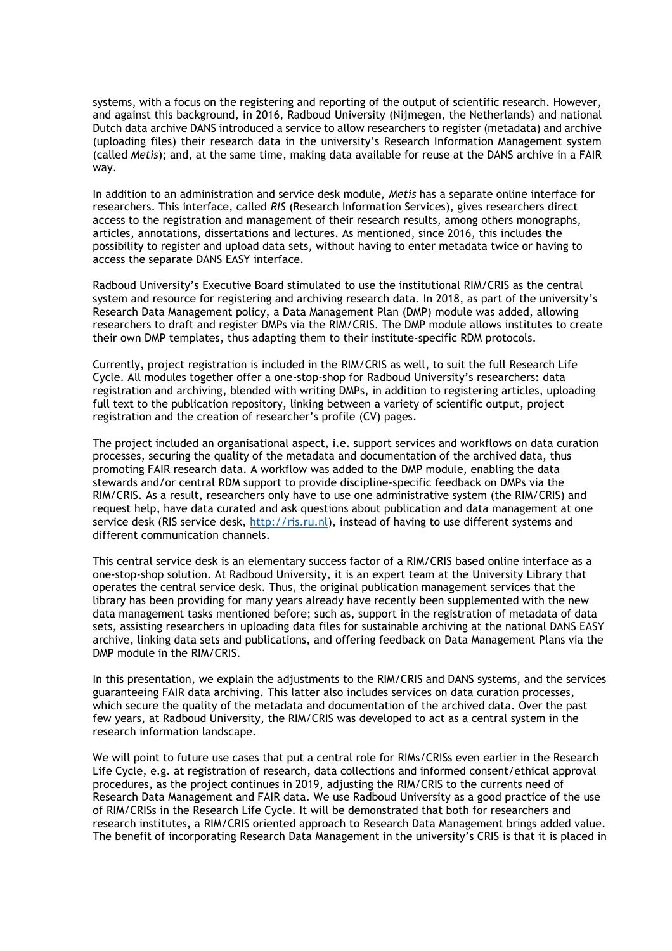systems, with a focus on the registering and reporting of the output of scientific research. However, and against this background, in 2016, Radboud University (Nijmegen, the Netherlands) and national Dutch data archive DANS introduced a service to allow researchers to register (metadata) and archive (uploading files) their research data in the university's Research Information Management system (called *Metis*); and, at the same time, making data available for reuse at the DANS archive in a FAIR way.

In addition to an administration and service desk module, *Metis* has a separate online interface for researchers. This interface, called *RIS* (Research Information Services), gives researchers direct access to the registration and management of their research results, among others monographs, articles, annotations, dissertations and lectures. As mentioned, since 2016, this includes the possibility to register and upload data sets, without having to enter metadata twice or having to access the separate DANS EASY interface.

Radboud University's Executive Board stimulated to use the institutional RIM/CRIS as the central system and resource for registering and archiving research data. In 2018, as part of the university's Research Data Management policy, a Data Management Plan (DMP) module was added, allowing researchers to draft and register DMPs via the RIM/CRIS. The DMP module allows institutes to create their own DMP templates, thus adapting them to their institute-specific RDM protocols.

Currently, project registration is included in the RIM/CRIS as well, to suit the full Research Life Cycle. All modules together offer a one-stop-shop for Radboud University's researchers: data registration and archiving, blended with writing DMPs, in addition to registering articles, uploading full text to the publication repository, linking between a variety of scientific output, project registration and the creation of researcher's profile (CV) pages.

The project included an organisational aspect, i.e. support services and workflows on data curation processes, securing the quality of the metadata and documentation of the archived data, thus promoting FAIR research data. A workflow was added to the DMP module, enabling the data stewards and/or central RDM support to provide discipline-specific feedback on DMPs via the RIM/CRIS. As a result, researchers only have to use one administrative system (the RIM/CRIS) and request help, have data curated and ask questions about publication and data management at one service desk (RIS service desk, [http://ris.ru.nl\)](http://ris.ru.nl/), instead of having to use different systems and different communication channels.

This central service desk is an elementary success factor of a RIM/CRIS based online interface as a one-stop-shop solution. At Radboud University, it is an expert team at the University Library that operates the central service desk. Thus, the original publication management services that the library has been providing for many years already have recently been supplemented with the new data management tasks mentioned before; such as, support in the registration of metadata of data sets, assisting researchers in uploading data files for sustainable archiving at the national DANS EASY archive, linking data sets and publications, and offering feedback on Data Management Plans via the DMP module in the RIM/CRIS.

In this presentation, we explain the adjustments to the RIM/CRIS and DANS systems, and the services guaranteeing FAIR data archiving. This latter also includes services on data curation processes, which secure the quality of the metadata and documentation of the archived data. Over the past few years, at Radboud University, the RIM/CRIS was developed to act as a central system in the research information landscape.

We will point to future use cases that put a central role for RIMs/CRISs even earlier in the Research Life Cycle, e.g. at registration of research, data collections and informed consent/ethical approval procedures, as the project continues in 2019, adjusting the RIM/CRIS to the currents need of Research Data Management and FAIR data. We use Radboud University as a good practice of the use of RIM/CRISs in the Research Life Cycle. It will be demonstrated that both for researchers and research institutes, a RIM/CRIS oriented approach to Research Data Management brings added value. The benefit of incorporating Research Data Management in the university's CRIS is that it is placed in